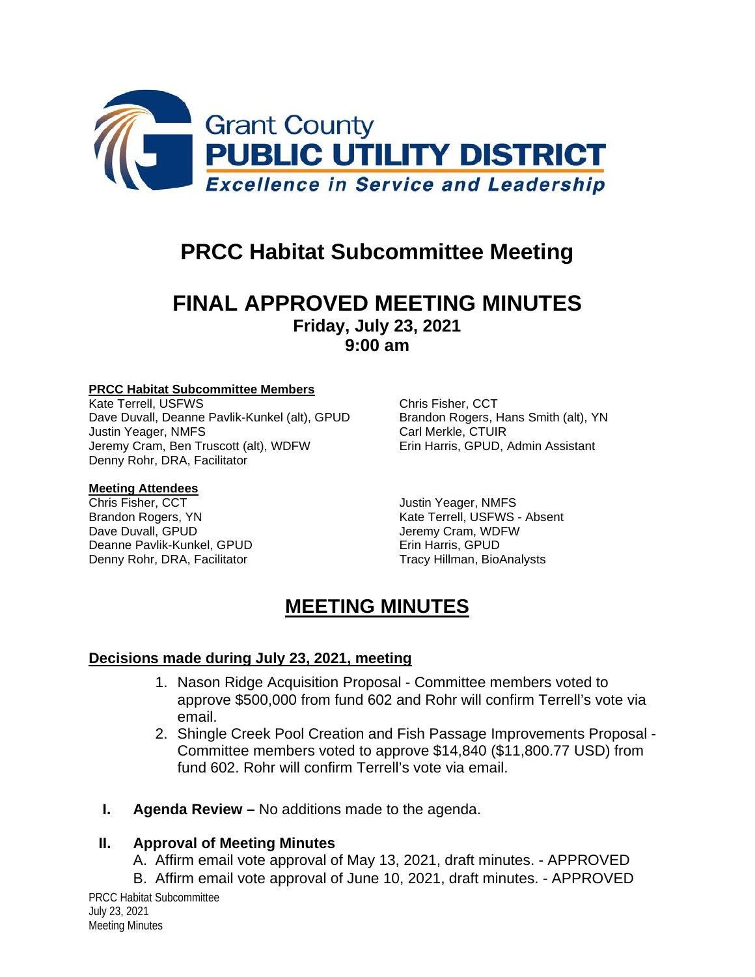

# **PRCC Habitat Subcommittee Meeting**

## **FINAL APPROVED MEETING MINUTES Friday, July 23, 2021 9:00 am**

#### **PRCC Habitat Subcommittee Members**

Kate Terrell, USFWS Chris Fisher, CCT Dave Duvall, Deanne Pavlik-Kunkel (alt), GPUD Brandon Rogers, Hans Smith (alt), YN Justin Yeager, NMFS Carl Merkle, CTUIR Jeremy Cram, Ben Truscott (alt), WDFW Erin Harris, GPUD, Admin Assistant Denny Rohr, DRA, Facilitator

# **Meeting Attendees**

Chris Fisher, CCT<br>
Brandon Rogers, YN

Brandon Rogers, YN

USEWS Dave Duvall, GPUD **Dave Duvall**, GPUD **Jeremy Cram, WDFW** Deanne Pavlik-Kunkel, GPUD Erin Harris, GPUD Denny Rohr, DRA, Facilitator

Kate Terrell, USFWS - Absent

## **MEETING MINUTES**

#### **Decisions made during July 23, 2021, meeting**

- 1. Nason Ridge Acquisition Proposal Committee members voted to approve \$500,000 from fund 602 and Rohr will confirm Terrell's vote via email.
- 2. Shingle Creek Pool Creation and Fish Passage Improvements Proposal Committee members voted to approve \$14,840 (\$11,800.77 USD) from fund 602. Rohr will confirm Terrell's vote via email.
- **I. Agenda Review –** No additions made to the agenda.

#### **II. Approval of Meeting Minutes**

A. Affirm email vote approval of May 13, 2021, draft minutes. - APPROVED

B. Affirm email vote approval of June 10, 2021, draft minutes. - APPROVED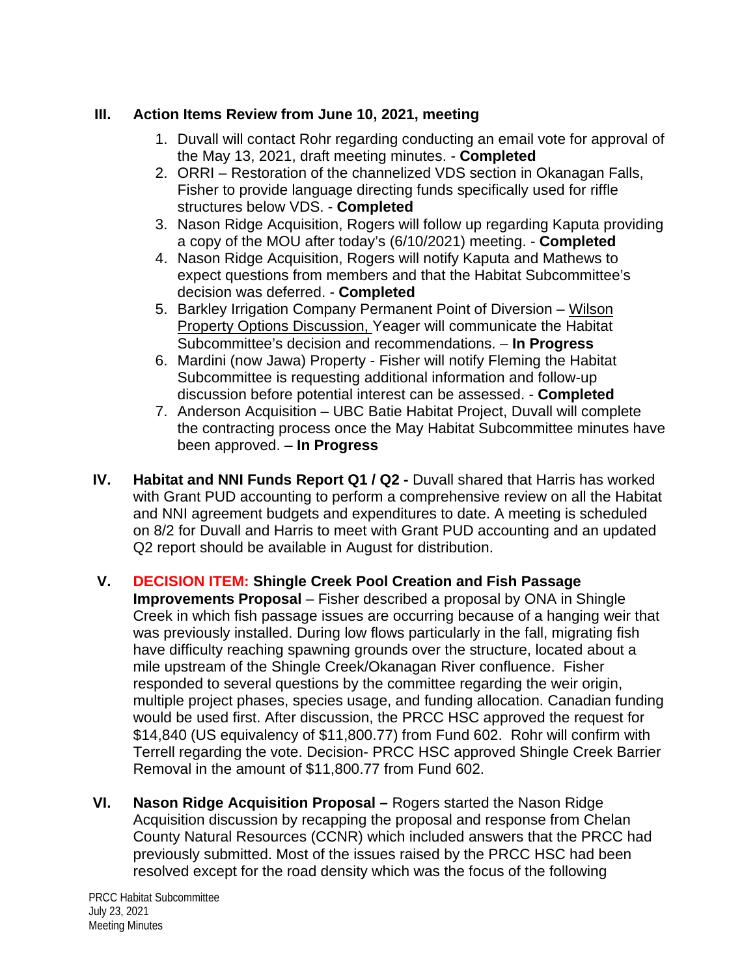### **III. Action Items Review from June 10, 2021, meeting**

- 1. Duvall will contact Rohr regarding conducting an email vote for approval of the May 13, 2021, draft meeting minutes. - **Completed**
- 2. ORRI Restoration of the channelized VDS section in Okanagan Falls, Fisher to provide language directing funds specifically used for riffle structures below VDS. - **Completed**
- 3. Nason Ridge Acquisition, Rogers will follow up regarding Kaputa providing a copy of the MOU after today's (6/10/2021) meeting. - **Completed**
- 4. Nason Ridge Acquisition, Rogers will notify Kaputa and Mathews to expect questions from members and that the Habitat Subcommittee's decision was deferred. - **Completed**
- 5. Barkley Irrigation Company Permanent Point of Diversion Wilson Property Options Discussion, Yeager will communicate the Habitat Subcommittee's decision and recommendations. – **In Progress**
- 6. Mardini (now Jawa) Property Fisher will notify Fleming the Habitat Subcommittee is requesting additional information and follow-up discussion before potential interest can be assessed. - **Completed**
- 7. Anderson Acquisition UBC Batie Habitat Project, Duvall will complete the contracting process once the May Habitat Subcommittee minutes have been approved. – **In Progress**
- **IV. Habitat and NNI Funds Report Q1 / Q2 -** Duvall shared that Harris has worked with Grant PUD accounting to perform a comprehensive review on all the Habitat and NNI agreement budgets and expenditures to date. A meeting is scheduled on 8/2 for Duvall and Harris to meet with Grant PUD accounting and an updated Q2 report should be available in August for distribution.
- **V. DECISION ITEM: Shingle Creek Pool Creation and Fish Passage Improvements Proposal** – Fisher described a proposal by ONA in Shingle Creek in which fish passage issues are occurring because of a hanging weir that was previously installed. During low flows particularly in the fall, migrating fish have difficulty reaching spawning grounds over the structure, located about a mile upstream of the Shingle Creek/Okanagan River confluence. Fisher responded to several questions by the committee regarding the weir origin, multiple project phases, species usage, and funding allocation. Canadian funding would be used first. After discussion, the PRCC HSC approved the request for \$14,840 (US equivalency of \$11,800.77) from Fund 602. Rohr will confirm with Terrell regarding the vote. Decision- PRCC HSC approved Shingle Creek Barrier Removal in the amount of \$11,800.77 from Fund 602.
- **VI. Nason Ridge Acquisition Proposal –** Rogers started the Nason Ridge Acquisition discussion by recapping the proposal and response from Chelan County Natural Resources (CCNR) which included answers that the PRCC had previously submitted. Most of the issues raised by the PRCC HSC had been resolved except for the road density which was the focus of the following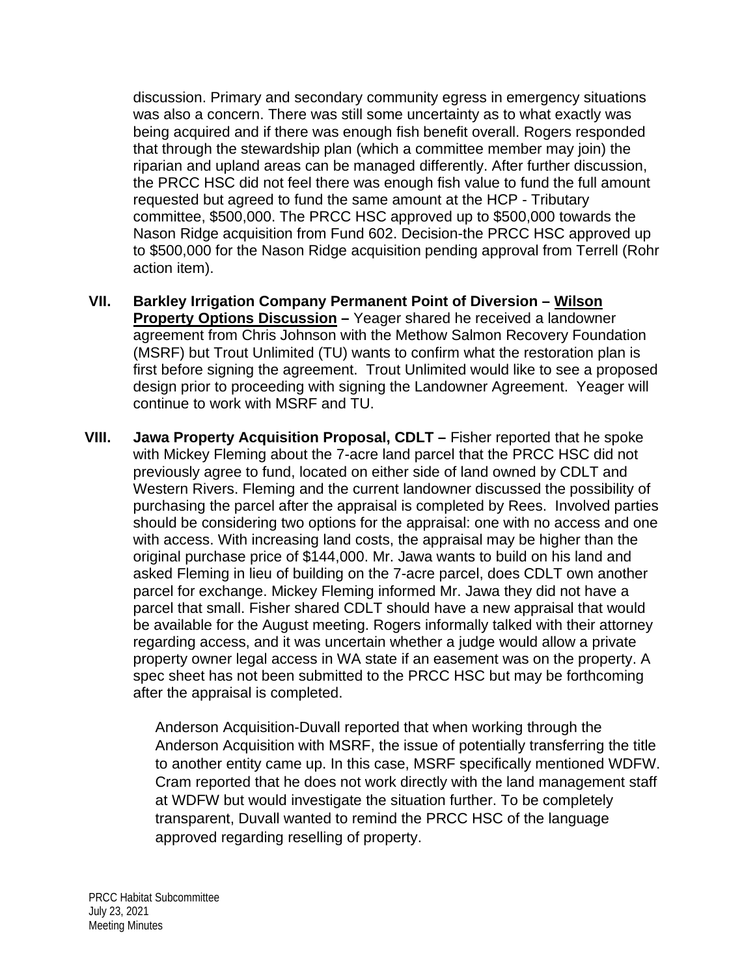discussion. Primary and secondary community egress in emergency situations was also a concern. There was still some uncertainty as to what exactly was being acquired and if there was enough fish benefit overall. Rogers responded that through the stewardship plan (which a committee member may join) the riparian and upland areas can be managed differently. After further discussion, the PRCC HSC did not feel there was enough fish value to fund the full amount requested but agreed to fund the same amount at the HCP - Tributary committee, \$500,000. The PRCC HSC approved up to \$500,000 towards the Nason Ridge acquisition from Fund 602. Decision-the PRCC HSC approved up to \$500,000 for the Nason Ridge acquisition pending approval from Terrell (Rohr action item).

- **VII. Barkley Irrigation Company Permanent Point of Diversion – Wilson Property Options Discussion –** Yeager shared he received a landowner agreement from Chris Johnson with the Methow Salmon Recovery Foundation (MSRF) but Trout Unlimited (TU) wants to confirm what the restoration plan is first before signing the agreement. Trout Unlimited would like to see a proposed design prior to proceeding with signing the Landowner Agreement. Yeager will continue to work with MSRF and TU.
- **VIII. Jawa Property Acquisition Proposal, CDLT –** Fisher reported that he spoke with Mickey Fleming about the 7-acre land parcel that the PRCC HSC did not previously agree to fund, located on either side of land owned by CDLT and Western Rivers. Fleming and the current landowner discussed the possibility of purchasing the parcel after the appraisal is completed by Rees. Involved parties should be considering two options for the appraisal: one with no access and one with access. With increasing land costs, the appraisal may be higher than the original purchase price of \$144,000. Mr. Jawa wants to build on his land and asked Fleming in lieu of building on the 7-acre parcel, does CDLT own another parcel for exchange. Mickey Fleming informed Mr. Jawa they did not have a parcel that small. Fisher shared CDLT should have a new appraisal that would be available for the August meeting. Rogers informally talked with their attorney regarding access, and it was uncertain whether a judge would allow a private property owner legal access in WA state if an easement was on the property. A spec sheet has not been submitted to the PRCC HSC but may be forthcoming after the appraisal is completed.

Anderson Acquisition-Duvall reported that when working through the Anderson Acquisition with MSRF, the issue of potentially transferring the title to another entity came up. In this case, MSRF specifically mentioned WDFW. Cram reported that he does not work directly with the land management staff at WDFW but would investigate the situation further. To be completely transparent, Duvall wanted to remind the PRCC HSC of the language approved regarding reselling of property.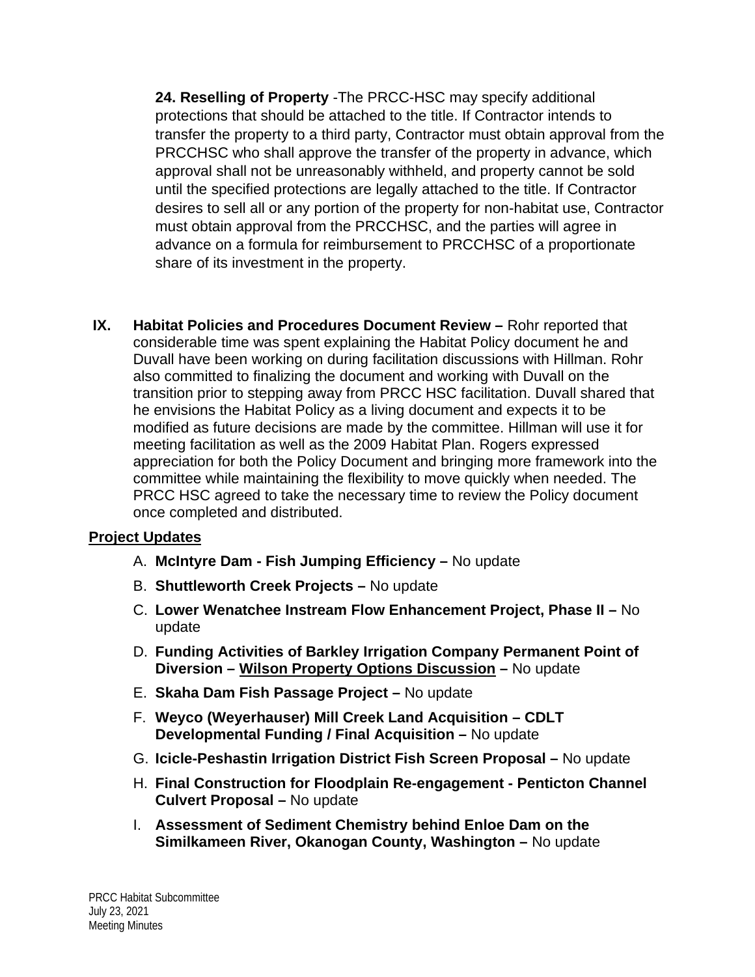**24. Reselling of Property** -The PRCC-HSC may specify additional protections that should be attached to the title. If Contractor intends to transfer the property to a third party, Contractor must obtain approval from the PRCCHSC who shall approve the transfer of the property in advance, which approval shall not be unreasonably withheld, and property cannot be sold until the specified protections are legally attached to the title. If Contractor desires to sell all or any portion of the property for non-habitat use, Contractor must obtain approval from the PRCCHSC, and the parties will agree in advance on a formula for reimbursement to PRCCHSC of a proportionate share of its investment in the property.

**IX. Habitat Policies and Procedures Document Review –** Rohr reported that considerable time was spent explaining the Habitat Policy document he and Duvall have been working on during facilitation discussions with Hillman. Rohr also committed to finalizing the document and working with Duvall on the transition prior to stepping away from PRCC HSC facilitation. Duvall shared that he envisions the Habitat Policy as a living document and expects it to be modified as future decisions are made by the committee. Hillman will use it for meeting facilitation as well as the 2009 Habitat Plan. Rogers expressed appreciation for both the Policy Document and bringing more framework into the committee while maintaining the flexibility to move quickly when needed. The PRCC HSC agreed to take the necessary time to review the Policy document once completed and distributed.

#### **Project Updates**

- A. **McIntyre Dam - Fish Jumping Efficiency –** No update
- B. **Shuttleworth Creek Projects –** No update
- C. **Lower Wenatchee Instream Flow Enhancement Project, Phase II –** No update
- D. **Funding Activities of Barkley Irrigation Company Permanent Point of Diversion – Wilson Property Options Discussion –** No update
- E. **Skaha Dam Fish Passage Project –** No update
- F. **Weyco (Weyerhauser) Mill Creek Land Acquisition – CDLT Developmental Funding / Final Acquisition –** No update
- G. **Icicle-Peshastin Irrigation District Fish Screen Proposal –** No update
- H. **Final Construction for Floodplain Re-engagement - Penticton Channel Culvert Proposal –** No update
- I. **Assessment of Sediment Chemistry behind Enloe Dam on the Similkameen River, Okanogan County, Washington –** No update